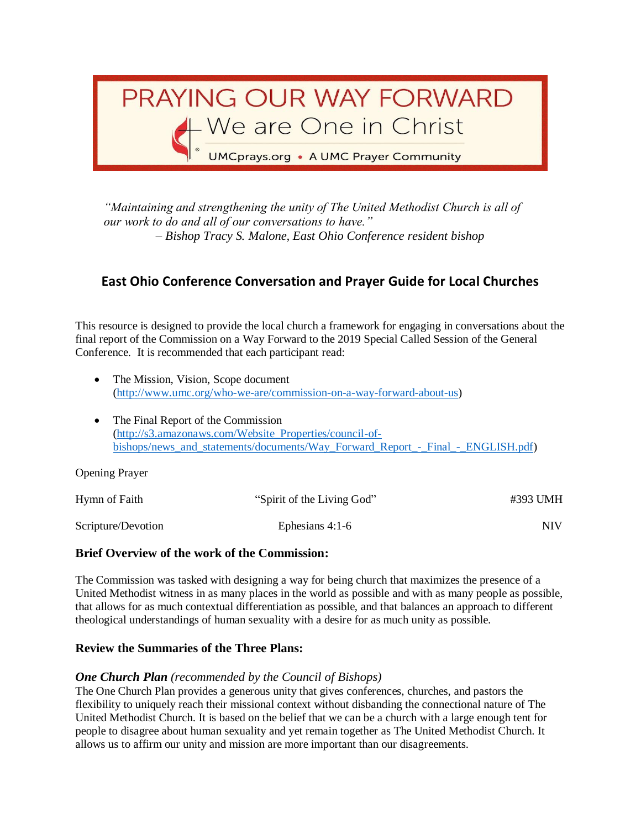

*"Maintaining and strengthening the unity of The United Methodist Church is all of our work to do and all of our conversations to have." – Bishop Tracy S. Malone, East Ohio Conference resident bishop*

# **East Ohio Conference Conversation and Prayer Guide for Local Churches**

This resource is designed to provide the local church a framework for engaging in conversations about the final report of the Commission on a Way Forward to the 2019 Special Called Session of the General Conference. It is recommended that each participant read:

- The Mission, Vision, Scope document [\(http://www.umc.org/who-we-are/commission-on-a-way-forward-about-us\)](http://www.umc.org/who-we-are/commission-on-a-way-forward-about-us)
- The Final Report of the Commission [\(http://s3.amazonaws.com/Website\\_Properties/council-of](http://s3.amazonaws.com/Website_Properties/council-of-bishops/news_and_statements/documents/Way_Forward_Report_-_Final_-_ENGLISH.pdf)[bishops/news\\_and\\_statements/documents/Way\\_Forward\\_Report\\_-\\_Final\\_-\\_ENGLISH.pdf\)](http://s3.amazonaws.com/Website_Properties/council-of-bishops/news_and_statements/documents/Way_Forward_Report_-_Final_-_ENGLISH.pdf)

Opening Prayer

| Hymn of Faith      | "Spirit of the Living God" | #393 UMH |
|--------------------|----------------------------|----------|
| Scripture/Devotion | Ephesians $4:1-6$          | NIV      |

# **Brief Overview of the work of the Commission:**

The Commission was tasked with designing a way for being church that maximizes the presence of a United Methodist witness in as many places in the world as possible and with as many people as possible, that allows for as much contextual differentiation as possible, and that balances an approach to different theological understandings of human sexuality with a desire for as much unity as possible.

#### **Review the Summaries of the Three Plans:**

# *One Church Plan (recommended by the Council of Bishops)*

The One Church Plan provides a generous unity that gives conferences, churches, and pastors the flexibility to uniquely reach their missional context without disbanding the connectional nature of The United Methodist Church. It is based on the belief that we can be a church with a large enough tent for people to disagree about human sexuality and yet remain together as The United Methodist Church. It allows us to affirm our unity and mission are more important than our disagreements.